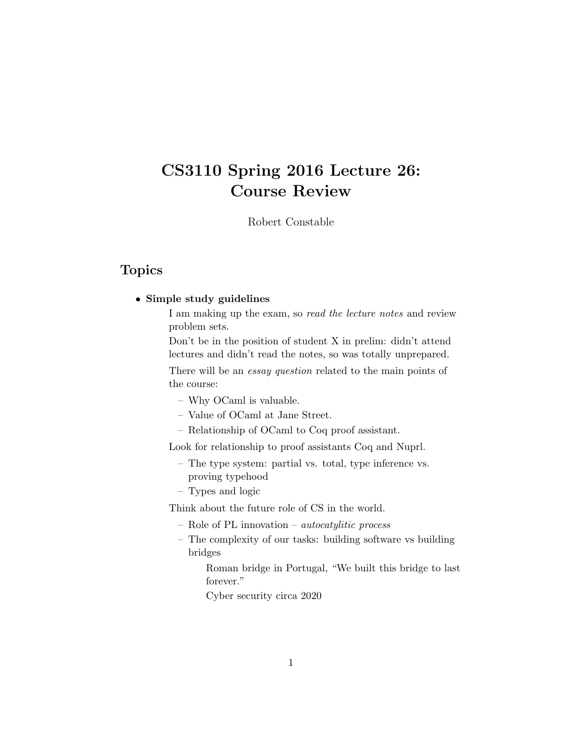# CS3110 Spring 2016 Lecture 26: Course Review

Robert Constable

### Topics

#### • Simple study guidelines

I am making up the exam, so read the lecture notes and review problem sets.

Don't be in the position of student X in prelim: didn't attend lectures and didn't read the notes, so was totally unprepared.

There will be an *essay question* related to the main points of the course:

- Why OCaml is valuable.
- Value of OCaml at Jane Street.
- Relationship of OCaml to Coq proof assistant.

Look for relationship to proof assistants Coq and Nuprl.

- The type system: partial vs. total, type inference vs. proving typehood
- Types and logic

Think about the future role of CS in the world.

- Role of PL innovation autocatylitic process
- The complexity of our tasks: building software vs building bridges

Roman bridge in Portugal, "We built this bridge to last forever."

Cyber security circa 2020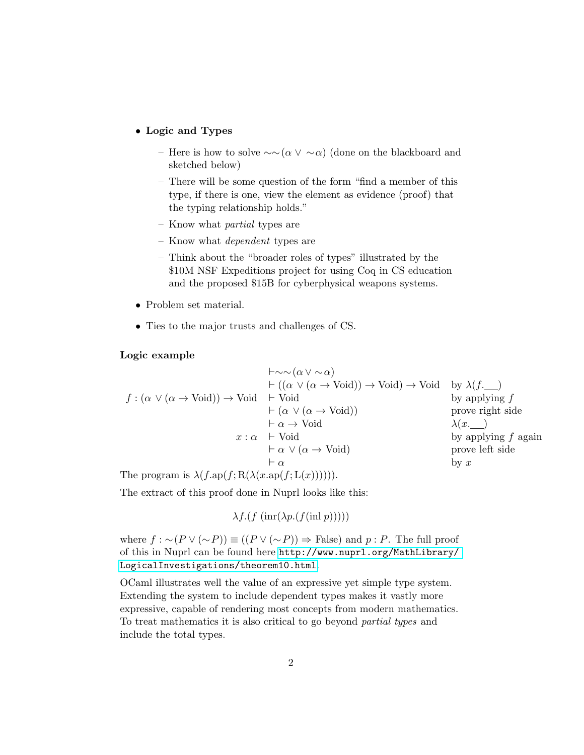• Logic and Types

- Here is how to solve ∼∼(α ∨ ∼α) (done on the blackboard and sketched below)
- There will be some question of the form "find a member of this type, if there is one, view the element as evidence (proof) that the typing relationship holds."
- Know what partial types are
- Know what dependent types are
- Think about the "broader roles of types" illustrated by the \$10M NSF Expeditions project for using Coq in CS education and the proposed \$15B for cyberphysical weapons systems.
- Problem set material.
- Ties to the major trusts and challenges of CS.

#### Logic example

$$
f : (\alpha \lor (\alpha \to \text{void})) \to \text{void} \rightarrow \text{void} \text{ by } \lambda(f.\_)
$$
  
\n
$$
f : (\alpha \lor (\alpha \to \text{void})) \to \text{void} \rightarrow \text{void} \text{ by applying } f
$$
  
\n
$$
\vdash (\alpha \lor (\alpha \to \text{void})) \rightarrow \text{void} \text{ by applying } f
$$
  
\n
$$
\vdash \alpha \lor (\alpha \to \text{void}) \text{ prove right side}
$$
  
\n
$$
x : \alpha \vdash \text{void} \text{ by applying } f \text{ again}
$$
  
\n
$$
\vdash \alpha \lor (\alpha \to \text{void}) \text{ by applying } f \text{ again}
$$
  
\n
$$
\vdash \alpha
$$
  
\nby x

The program is  $\lambda(f.\text{ap}(f;\text{R}(\lambda(x.\text{ap}(f;\text{L}(x))))))$ .

The extract of this proof done in Nuprl looks like this:

```
\lambda f. (f \left( \text{inr}(\lambda p. (f(\text{inl } p))))\right))
```
where  $f : \sim (P \vee (\sim P)) \equiv ((P \vee (\sim P)) \Rightarrow$  False) and p: P. The full proof of this in Nuprl can be found here [http://www.nuprl.org/MathLibrary/](http://www.nuprl.org/MathLibrary/LogicalInvestigations/theorem10.html) [LogicalInvestigations/theorem10.html](http://www.nuprl.org/MathLibrary/LogicalInvestigations/theorem10.html).

OCaml illustrates well the value of an expressive yet simple type system. Extending the system to include dependent types makes it vastly more expressive, capable of rendering most concepts from modern mathematics. To treat mathematics it is also critical to go beyond partial types and include the total types.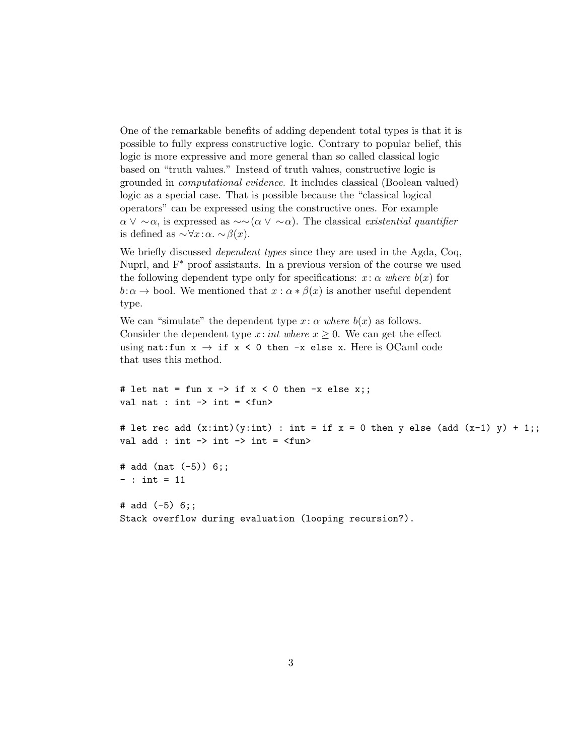One of the remarkable benefits of adding dependent total types is that it is possible to fully express constructive logic. Contrary to popular belief, this logic is more expressive and more general than so called classical logic based on "truth values." Instead of truth values, constructive logic is grounded in computational evidence. It includes classical (Boolean valued) logic as a special case. That is possible because the "classical logical operators" can be expressed using the constructive ones. For example  $\alpha \vee \sim \alpha$ , is expressed as  $\sim \alpha (\alpha \vee \alpha)$ . The classical existential quantifier is defined as  $\sim \forall x:\alpha \sim \beta(x)$ .

We briefly discussed *dependent types* since they are used in the Agda, Coq, Nuprl, and F<sup>∗</sup> proof assistants. In a previous version of the course we used the following dependent type only for specifications:  $x: \alpha$  where  $b(x)$  for  $b:\alpha \to \text{bool}$ . We mentioned that  $x:\alpha * \beta(x)$  is another useful dependent type.

We can "simulate" the dependent type  $x: \alpha$  where  $b(x)$  as follows. Consider the dependent type x: int where  $x \geq 0$ . We can get the effect using nat: fun  $x \to i f x < 0$  then -x else x. Here is OCaml code that uses this method.

# let nat = fun  $x \rightarrow if x < 0$  then  $-x$  else  $x$ ;; val nat : int  $\rightarrow$  int =  $\langle$ fun> # let rec add  $(x:int)(y:int)$ : int = if  $x = 0$  then y else (add  $(x-1)$  y) + 1;; val add : int  $\rightarrow$  int  $\rightarrow$  int =  $\langle$ fun> # add (nat (-5)) 6;;  $-$  : int = 11 # add  $(-5)$  6;; Stack overflow during evaluation (looping recursion?).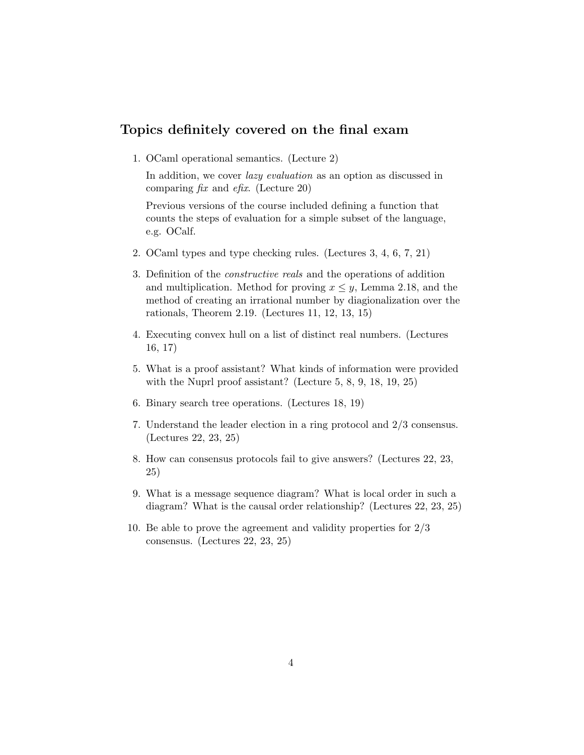## Topics definitely covered on the final exam

1. OCaml operational semantics. (Lecture 2)

In addition, we cover *lazy evaluation* as an option as discussed in comparing  $fix$  and  $efix$ . (Lecture 20)

Previous versions of the course included defining a function that counts the steps of evaluation for a simple subset of the language, e.g. OCalf.

- 2. OCaml types and type checking rules. (Lectures 3, 4, 6, 7, 21)
- 3. Definition of the constructive reals and the operations of addition and multiplication. Method for proving  $x \leq y$ , Lemma 2.18, and the method of creating an irrational number by diagionalization over the rationals, Theorem 2.19. (Lectures 11, 12, 13, 15)
- 4. Executing convex hull on a list of distinct real numbers. (Lectures 16, 17)
- 5. What is a proof assistant? What kinds of information were provided with the Nuprl proof assistant? (Lecture 5, 8, 9, 18, 19, 25)
- 6. Binary search tree operations. (Lectures 18, 19)
- 7. Understand the leader election in a ring protocol and 2/3 consensus. (Lectures 22, 23, 25)
- 8. How can consensus protocols fail to give answers? (Lectures 22, 23, 25)
- 9. What is a message sequence diagram? What is local order in such a diagram? What is the causal order relationship? (Lectures 22, 23, 25)
- 10. Be able to prove the agreement and validity properties for 2/3 consensus. (Lectures 22, 23, 25)